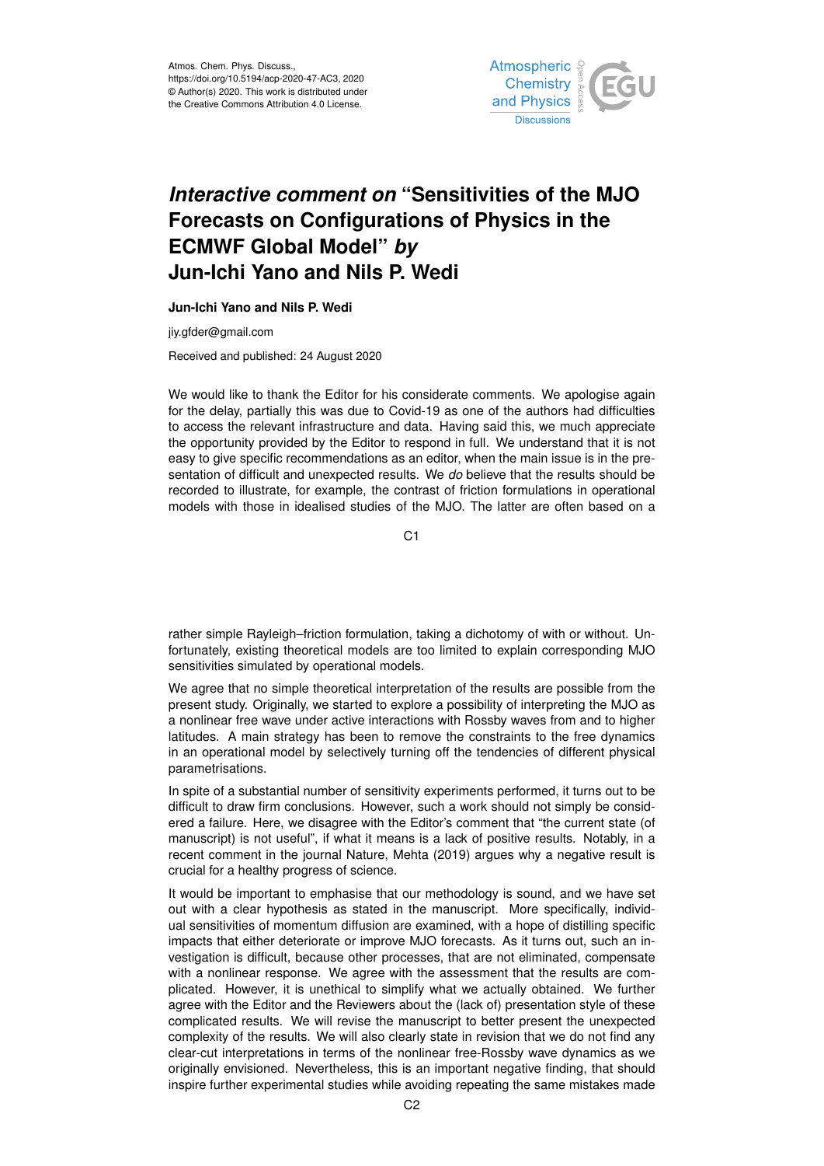Atmos. Chem. Phys. Discuss., https://doi.org/10.5194/acp-2020-47-AC3, 2020 © Author(s) 2020. This work is distributed under the Creative Commons Attribution 4.0 License.



## *Interactive comment on* **"Sensitivities of the MJO Forecasts on Configurations of Physics in the ECMWF Global Model"** *by* **Jun-Ichi Yano and Nils P. Wedi**

**Jun-Ichi Yano and Nils P. Wedi**

jiy.gfder@gmail.com

Received and published: 24 August 2020

We would like to thank the Editor for his considerate comments. We apologise again for the delay, partially this was due to Covid-19 as one of the authors had difficulties to access the relevant infrastructure and data. Having said this, we much appreciate the opportunity provided by the Editor to respond in full. We understand that it is not easy to give specific recommendations as an editor, when the main issue is in the presentation of difficult and unexpected results. We *do* believe that the results should be recorded to illustrate, for example, the contrast of friction formulations in operational models with those in idealised studies of the MJO. The latter are often based on a

C<sub>1</sub>

rather simple Rayleigh–friction formulation, taking a dichotomy of with or without. Unfortunately, existing theoretical models are too limited to explain corresponding MJO sensitivities simulated by operational models.

We agree that no simple theoretical interpretation of the results are possible from the present study. Originally, we started to explore a possibility of interpreting the MJO as a nonlinear free wave under active interactions with Rossby waves from and to higher latitudes. A main strategy has been to remove the constraints to the free dynamics in an operational model by selectively turning off the tendencies of different physical parametrisations.

In spite of a substantial number of sensitivity experiments performed, it turns out to be difficult to draw firm conclusions. However, such a work should not simply be considered a failure. Here, we disagree with the Editor's comment that "the current state (of manuscript) is not useful", if what it means is a lack of positive results. Notably, in a recent comment in the journal Nature, Mehta (2019) argues why a negative result is crucial for a healthy progress of science.

It would be important to emphasise that our methodology is sound, and we have set out with a clear hypothesis as stated in the manuscript. More specifically, individual sensitivities of momentum diffusion are examined, with a hope of distilling specific impacts that either deteriorate or improve MJO forecasts. As it turns out, such an investigation is difficult, because other processes, that are not eliminated, compensate with a nonlinear response. We agree with the assessment that the results are complicated. However, it is unethical to simplify what we actually obtained. We further agree with the Editor and the Reviewers about the (lack of) presentation style of these complicated results. We will revise the manuscript to better present the unexpected complexity of the results. We will also clearly state in revision that we do not find any clear-cut interpretations in terms of the nonlinear free-Rossby wave dynamics as we originally envisioned. Nevertheless, this is an important negative finding, that should inspire further experimental studies while avoiding repeating the same mistakes made